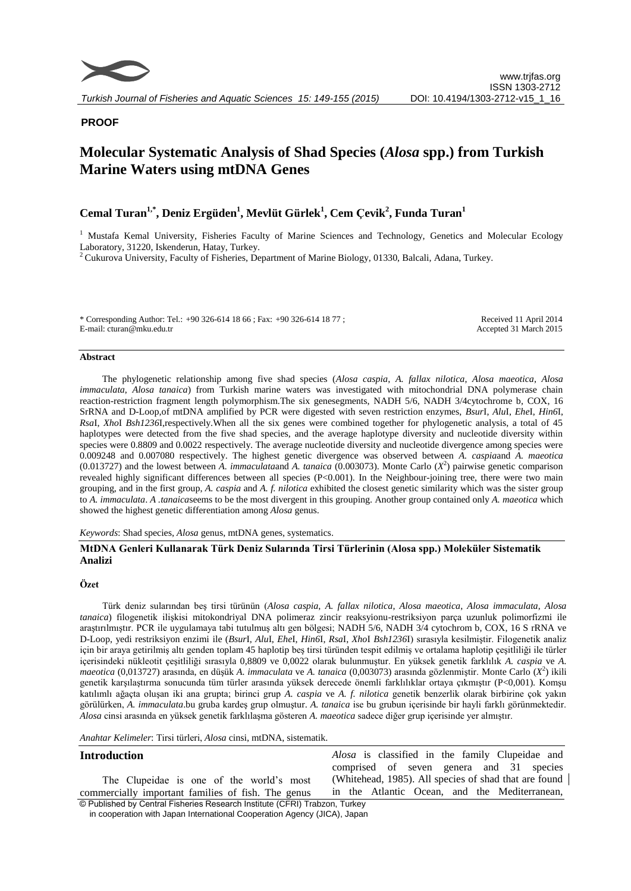

## **PROOF**

# **Molecular Systematic Analysis of Shad Species (***Alosa* **spp.) from Turkish Marine Waters using mtDNA Genes**

## **Cemal Turan1,\* , Deniz Ergüden<sup>1</sup> , Mevlüt Gürlek<sup>1</sup> , Cem Çevik 2 , Funda Turan<sup>1</sup>**

<sup>1</sup> Mustafa Kemal University, Fisheries Faculty of Marine Sciences and Technology, Genetics and Molecular Ecology Laboratory, 31220, Iskenderun, Hatay, Turkey.

<sup>2</sup> Cukurova University, Faculty of Fisheries, Department of Marine Biology, 01330, Balcali, Adana, Turkey.

\* Corresponding Author: Tel.: +90 326-614 18 66 ; Fax: +90 326-614 18 77 ; E-mail: cturan@mku.edu.tr

Received 11 April 2014 Accepted 31 March 2015

#### **Abstract**

The phylogenetic relationship among five shad species (*Alosa caspia*, *A. fallax nilotica*, *Alosa maeotica*, *Alosa immaculata*, *Alosa tanaica*) from Turkish marine waters was investigated with mitochondrial DNA polymerase chain reaction-restriction fragment length polymorphism.The six genesegments, NADH 5/6, NADH 3/4cytochrome b, COX, 16 SrRNA and D-Loop,of mtDNA amplified by PCR were digested with seven restriction enzymes, *Bsur*I, *Alu*I, *Ehe*I, *Hin6*I, *Rsa*I, *Xho*I *Bsh1236*I,respectively.When all the six genes were combined together for phylogenetic analysis, a total of 45 haplotypes were detected from the five shad species, and the average haplotype diversity and nucleotide diversity within species were 0.8809 and 0.0022 respectively. The average nucleotide diversity and nucleotide divergence among species were 0.009248 and 0.007080 respectively. The highest genetic divergence was observed between *A. caspia*and *A. maeotica* (0.013727) and the lowest between *A. immaculata*and *A. tanaica* (0.003073). Monte Carlo (*X* 2 ) pairwise genetic comparison revealed highly significant differences between all species (P<0.001). In the Neighbour-joining tree, there were two main grouping, and in the first group, *A. caspia* and *A. f. nilotica* exhibited the closest genetic similarity which was the sister group to *A. immaculata*. *A .tanaica*seems to be the most divergent in this grouping. Another group contained only *A. maeotica* which showed the highest genetic differentiation among *Alosa* genus.

*Keywords*: Shad species, *Alosa* genus, mtDNA genes, systematics.

## **MtDNA Genleri Kullanarak Türk Deniz Sularında Tirsi Türlerinin (Alosa spp.) Moleküler Sistematik Analizi**

#### **Özet**

Türk deniz sularından beş tirsi türünün (*Alosa caspia*, *A. fallax nilotica*, *Alosa maeotica*, *Alosa immaculata*, *Alosa tanaica*) filogenetik ilişkisi mitokondriyal DNA polimeraz zincir reaksyionu-restriksiyon parça uzunluk polimorfizmi ile araştırılmıştır. PCR ile uygulamaya tabi tutulmuş altı gen bölgesi; NADH 5/6, NADH 3/4 cytochrom b, COX, 16 S rRNA ve D-Loop, yedi restriksiyon enzimi ile (*Bsur*I, *Alu*I, *Ehe*I, *Hin6*I, *Rsa*I, *Xho*I *Bsh1236*I) sırasıyla kesilmiştir. Filogenetik analiz için bir araya getirilmiş altı genden toplam 45 haplotip beş tirsi türünden tespit edilmiş ve ortalama haplotip çeşitliliği ile türler içerisindeki nükleotit çeşitliliği sırasıyla 0,8809 ve 0,0022 olarak bulunmuştur. En yüksek genetik farklılık *A. caspia* ve *A. maeotica* (0,013727) arasında, en düşük *A. immaculata* ve *A. tanaica* (0,003073) arasında gözlenmiştir. Monte Carlo (*X* 2 ) ikili genetik karşılaştırma sonucunda tüm türler arasında yüksek derecede önemli farklılıklar ortaya çıkmıştır (P<0,001). Komşu katılımlı ağaçta oluşan iki ana grupta; birinci grup *A. caspia* ve *A. f. nilotica* genetik benzerlik olarak birbirine çok yakın görülürken, *A. immaculata*.bu gruba kardeş grup olmuştur. *A. tanaica* ise bu grubun içerisinde bir hayli farklı görünmektedir. *Alosa* cinsi arasında en yüksek genetik farklılaşma gösteren *A. maeotica* sadece diğer grup içerisinde yer almıştır.

*Anahtar Kelimeler*: Tirsi türleri, *Alosa* cinsi, mtDNA, sistematik.

#### **Introduction**

© Published by Central Fisheries Research Institute (CFRI) Trabzon, Turkey The Clupeidae is one of the world's most commercially important families of fish. The genus

*Alosa* is classified in the family Clupeidae and comprised of seven genera and 31 species (Whitehead, 1985). All species of shad that are found in the Atlantic Ocean, and the Mediterranean,

in cooperation with Japan International Cooperation Agency (JICA), Japan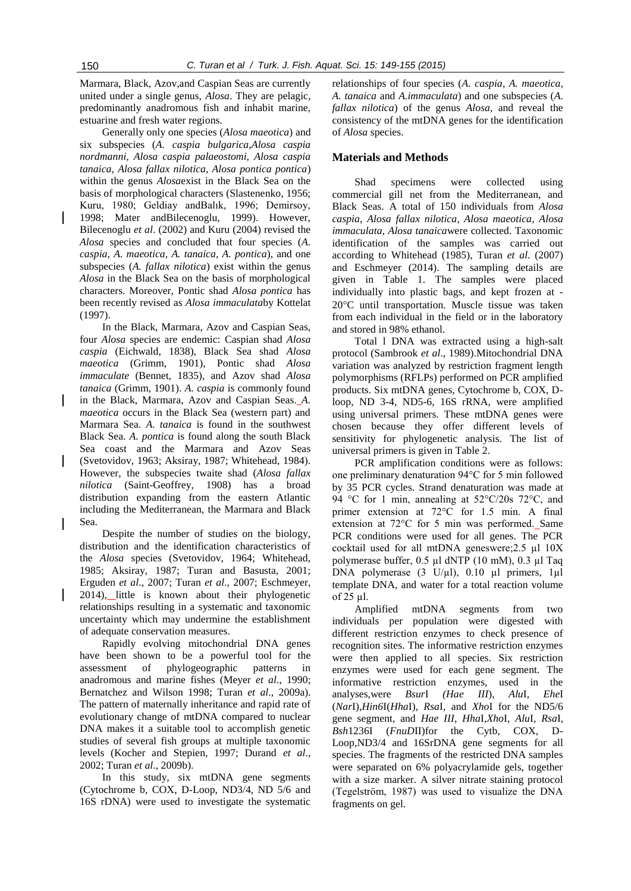Marmara, Black, Azov,and Caspian Seas are currently united under a single genus, *Alosa*. They are pelagic, predominantly anadromous fish and inhabit marine, estuarine and fresh water regions.

Generally only one species (*Alosa maeotica*) and six subspecies (*A. caspia bulgarica,Alosa caspia nordmanni, Alosa caspia palaeostomi, Alosa caspia tanaica, Alosa fallax nilotica, Alosa pontica pontica*) within the genus *Alosa*exist in the Black Sea on the basis of morphological characters (Slastenenko, 1956; Kuru, 1980; Geldiay andBalık, 1996; Demirsoy, 1998; Mater andBilecenoglu, 1999). However, Bilecenoglu *et al*. (2002) and Kuru (2004) revised the *Alosa* species and concluded that four species (*A. caspia*, *A. maeotica, A. tanaica, A. pontica*), and one subspecies (*A. fallax nilotica*) exist within the genus *Alosa* in the Black Sea on the basis of morphological characters. Moreover, Pontic shad *Alosa pontica* has been recently revised as *Alosa immaculata*by Kottelat (1997).

In the Black, Marmara, Azov and Caspian Seas, four *Alosa* species are endemic: Caspian shad *Alosa caspia* (Eichwald, 1838), Black Sea shad *Alosa maeotica* (Grimm, 1901), Pontic shad *Alosa immaculate* (Bennet, 1835), and Azov shad *Alosa tanaica* (Grimm, 1901). *A. caspia* is commonly found in the Black, Marmara, Azov and Caspian Seas. *A. maeotica* occurs in the Black Sea (western part) and Marmara Sea. *A. tanaica* is found in the southwest Black Sea. *A. pontica* is found along the south Black Sea coast and the Marmara and Azov Seas (Svetovidov, 1963; Aksiray, 1987; Whitehead, 1984). However, the subspecies twaite shad (*Alosa fallax nilotica* (Saint-Geoffrey, 1908) has a broad distribution expanding from the eastern Atlantic including the Mediterranean, the Marmara and Black Sea.

Despite the number of studies on the biology, distribution and the identification characteristics of the *Alosa* species (Svetovidov, 1964; Whitehead, 1985; Aksiray, 1987; Turan and Basusta, 2001; Erguden *et al*., 2007; Turan *et al*., 2007; Eschmeyer, 2014), little is known about their phylogenetic relationships resulting in a systematic and taxonomic uncertainty which may undermine the establishment of adequate conservation measures.

Rapidly evolving mitochondrial DNA genes have been shown to be a powerful tool for the assessment of phylogeographic patterns in anadromous and marine fishes (Meyer *et al*., 1990; Bernatchez and Wilson 1998; Turan *et al*., 2009a). The pattern of maternally inheritance and rapid rate of evolutionary change of mtDNA compared to nuclear DNA makes it a suitable tool to accomplish genetic studies of several fish groups at multiple taxonomic levels (Kocher and Stepien, 1997; Durand *et al*., 2002; Turan *et al*., 2009b).

In this study, six mtDNA gene segments (Cytochrome b, COX, D-Loop, ND3/4, ND 5/6 and 16S rDNA) were used to investigate the systematic

relationships of four species (*A. caspia*, *A. maeotica*, *A. tanaica* and *A.immaculata*) and one subspecies (*A. fallax nilotica*) of the genus *Alosa*, and reveal the consistency of the mtDNA genes for the identification of *Alosa* species.

## **Materials and Methods**

Shad specimens were collected using commercial gill net from the Mediterranean, and Black Seas. A total of 150 individuals from *Alosa caspia*, *Alosa fallax nilotica*, *Alosa maeotica*, *Alosa immaculata*, *Alosa tanaica*were collected. Taxonomic identification of the samples was carried out according to Whitehead (1985), Turan *et al*. (2007) and Eschmeyer (2014). The sampling details are given in Table 1. The samples were placed individually into plastic bags, and kept frozen at - 20C until transportation. Muscle tissue was taken from each individual in the field or in the laboratory and stored in 98% ethanol.

Total l DNA was extracted using a high-salt protocol (Sambrook *et al*., 1989).Mitochondrial DNA variation was analyzed by restriction fragment length polymorphisms (RFLPs) performed on PCR amplified products. Six mtDNA genes, Cytochrome b, COX, Dloop, ND 3-4, ND5-6, 16S rRNA, were amplified using universal primers. These mtDNA genes were chosen because they offer different levels of sensitivity for phylogenetic analysis. The list of universal primers is given in Table 2.

PCR amplification conditions were as follows: one preliminary denaturation 94°C for 5 min followed by 35 PCR cycles. Strand denaturation was made at 94 °C for 1 min, annealing at 52°C/20s 72°C, and primer extension at 72°C for 1.5 min. A final extension at 72°C for 5 min was performed. Same PCR conditions were used for all genes. The PCR cocktail used for all mtDNA geneswere;2.5 µl 10X polymerase buffer, 0.5 µl dNTP (10 mM), 0.3 µl Taq DNA polymerase (3 U/µl), 0.10 µl primers, 1µl template DNA, and water for a total reaction volume of 25 µl.

Amplified mtDNA segments from two individuals per population were digested with different restriction enzymes to check presence of recognition sites. The informative restriction enzymes were then applied to all species. Six restriction enzymes were used for each gene segment. The informative restriction enzymes, used in the analyses,were *Bsur*I *(Hae III*), *Alu*I, *Ehe*I (*Nar*I),*Hin6*I(*Hha*I), *Rsa*I, and *Xho*I for the ND5/6 gene segment, and *Hae III*, *Hha*I*,Xho*I*, Alu*I, *Rsa*I*, Bsh*1236I (*FnuD*II)for the Cytb, COX, D-Loop,ND3/4 and 16SrDNA gene segments for all species. The fragments of the restricted DNA samples were separated on 6% polyacrylamide gels, together with a size marker. A silver nitrate staining protocol (Tegelström, 1987) was used to visualize the DNA fragments on gel.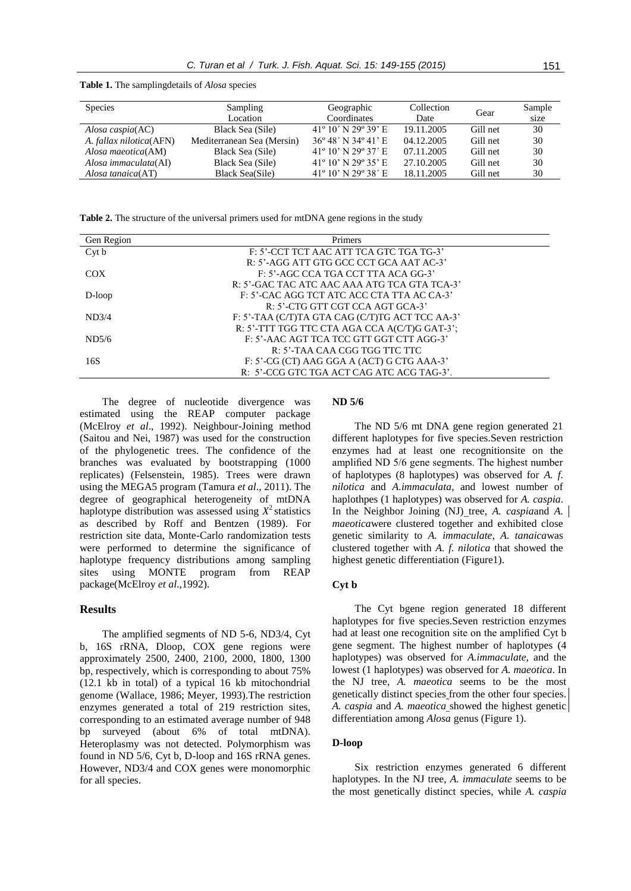**Table 1.** The samplingdetails of *Alosa* species

| <b>Species</b>          | <b>Sampling</b><br>Location | Geographic<br>Coordinates              | Collection<br>Date | Gear     | Sample<br>size |
|-------------------------|-----------------------------|----------------------------------------|--------------------|----------|----------------|
| Alosa caspia(AC)        | Black Sea (Sile)            | $41^{\circ}$ 10' N 29 $^{\circ}$ 39' E | 19.11.2005         | Gill net | 30             |
| A. fallax nilotica(AFN) | Mediterranean Sea (Mersin)  | $36^{\circ}$ 48' N $34^{\circ}$ 41' E  | 04.12.2005         | Gill net | 30             |
| Alosa maeotica(AM)      | Black Sea (Sile)            | $41^{\circ}$ 10' N 29 $^{\circ}$ 37' E | 07.11.2005         | Gill net | 30             |
| Alosa immaculata(AI)    | Black Sea (Sile)            | $41^{\circ} 10'$ N $29^{\circ} 35'$ E  | 27.10.2005         | Gill net | 30             |
| Alosa tanaica(AT)       | <b>Black Sea(Sile)</b>      | $41^{\circ}$ 10' N 29 $^{\circ}$ 38' E | 18.11.2005         | Gill net | 30             |

**Table 2.** The structure of the universal primers used for mtDNA gene regions in the study

| Gen Region | Primers                                         |
|------------|-------------------------------------------------|
| Cyt b      | F: 5'-CCT TCT AAC ATT TCA GTC TGA TG-3'         |
|            | R: 5'-AGG ATT GTG GCC CCT GCA AAT AC-3'         |
| COX        | $F: 5'$ -AGC CCA TGA CCT TTA ACA GG-3'          |
|            | R: 5'-GAC TAC ATC AAC AAA ATG TCA GTA TCA-3'    |
| $D-loop$   | F: 5'-CAC AGG TCT ATC ACC CTA TTA AC CA-3'      |
|            | R: 5'-CTG GTT CGT CCA AGT GCA-3'                |
| ND3/4      | F: 5'-TAA (C/T)TA GTA CAG (C/T)TG ACT TCC AA-3' |
|            | R: 5'-TTT TGG TTC CTA AGA CCA A(C/T)G GAT-3':   |
| ND5/6      | F: 5'-AAC AGT TCA TCC GTT GGT CTT AGG-3'        |
|            | $R: 5'$ -TAA CAA CGG TGG TTC TTC                |
| 16S        | $F: 5'$ -CG (CT) AAG GGA A (ACT) G CTG AAA-3'   |
|            | R: 5'-CCG GTC TGA ACT CAG ATC ACG TAG-3'.       |

The degree of nucleotide divergence was estimated using the REAP computer package (McElroy *et al*., 1992). Neighbour-Joining method (Saitou and Nei, 1987) was used for the construction of the phylogenetic trees. The confidence of the branches was evaluated by bootstrapping (1000 replicates) (Felsenstein, 1985). Trees were drawn using the MEGA5 program (Tamura *et al*., 2011). The degree of geographical heterogeneity of mtDNA haplotype distribution was assessed using  $X^2$  statistics as described by Roff and Bentzen (1989). For restriction site data, Monte-Carlo randomization tests were performed to determine the significance of haplotype frequency distributions among sampling sites using MONTE program from REAP package(McElroy *et al*.,1992).

## **Results**

The amplified segments of ND 5-6, ND3/4, Cyt b, 16S rRNA, Dloop, COX gene regions were approximately 2500, 2400, 2100, 2000, 1800, 1300 bp, respectively, which is corresponding to about 75% (12.1 kb in total) of a typical 16 kb mitochondrial genome (Wallace, 1986; Meyer, 1993).The restriction enzymes generated a total of 219 restriction sites, corresponding to an estimated average number of 948 bp surveyed (about 6% of total mtDNA). Heteroplasmy was not detected. Polymorphism was found in ND 5/6, Cyt b, D-loop and 16S rRNA genes. However, ND3/4 and COX genes were monomorphic for all species.

## **ND 5/6**

The ND 5/6 mt DNA gene region generated 21 different haplotypes for five species.Seven restriction enzymes had at least one recognitionsite on the amplified ND 5/6 gene segments. The highest number of haplotypes (8 haplotypes) was observed for *A. f. nilotica* and *A.immaculata*, and lowest number of haplothpes (1 haplotypes) was observed for *A. caspia*. In the Neighbor Joining (NJ) tree, *A. caspiaand A. maeotica*were clustered together and exhibited close genetic similarity to *A. immaculate*, *A. tanaica*was clustered together with *A. f. nilotica* that showed the highest genetic differentiation (Figure1).

#### **Cyt b**

The Cyt bgene region generated 18 different haplotypes for five species.Seven restriction enzymes had at least one recognition site on the amplified Cyt b gene segment. The highest number of haplotypes (4 haplotypes) was observed for *A.immaculate*, and the lowest (1 haplotypes) was observed for *A. maeotica*. In the NJ tree, *A. maeotica* seems to be the most genetically distinct species from the other four species. *A. caspia* and *A. maeotica* showed the highest genetic differentiation among *Alosa* genus (Figure 1).

## **D-loop**

Six restriction enzymes generated 6 different haplotypes. In the NJ tree, *A. immaculate* seems to be the most genetically distinct species, while *A. caspia*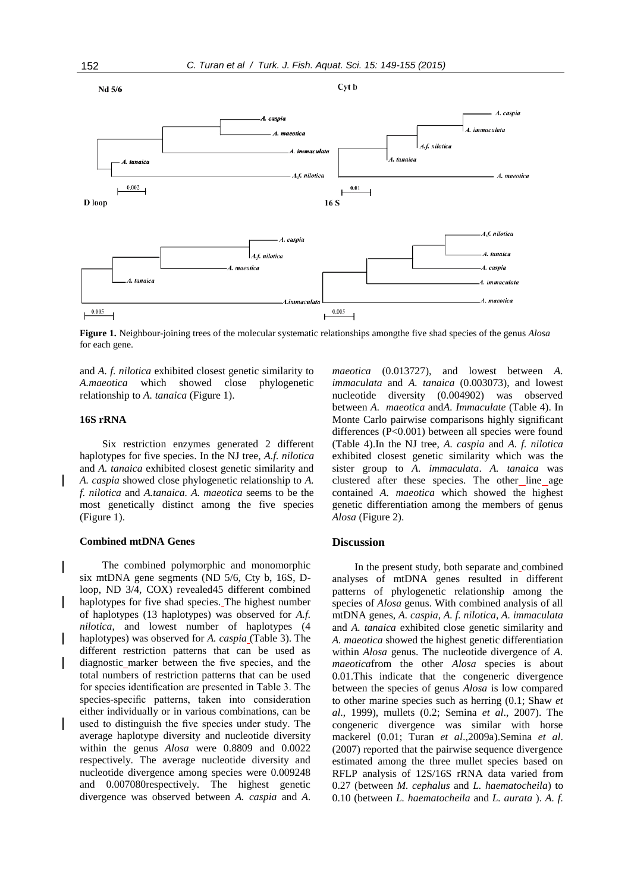

Cvt b



**Figure 1.** Neighbour-joining trees of the molecular systematic relationships amongthe five shad species of the genus *Alosa*  for each gene.

and *A. f. nilotica* exhibited closest genetic similarity to *A.maeotica* which showed close phylogenetic relationship to *A. tanaica* (Figure 1).

#### **16S rRNA**

Six restriction enzymes generated 2 different haplotypes for five species. In the NJ tree, *A.f. nilotica*  and *A. tanaica* exhibited closest genetic similarity and *A. caspia* showed close phylogenetic relationship to *A. f. nilotica* and *A.tanaica. A. maeotica* seems to be the most genetically distinct among the five species (Figure 1).

## **Combined mtDNA Genes**

The combined polymorphic and monomorphic six mtDNA gene segments (ND 5/6, Cty b, 16S, Dloop, ND 3/4, COX) revealed45 different combined haplotypes for five shad species. The highest number of haplotypes (13 haplotypes) was observed for *A.f. nilotica*, and lowest number of haplotypes (4 haplotypes) was observed for *A. caspia* (Table 3). The different restriction patterns that can be used as diagnostic marker between the five species, and the total numbers of restriction patterns that can be used for species identification are presented in Table 3. The species-specific patterns, taken into consideration either individually or in various combinations, can be used to distinguish the five species under study. The average haplotype diversity and nucleotide diversity within the genus *Alosa* were 0.8809 and 0.0022 respectively. The average nucleotide diversity and nucleotide divergence among species were 0.009248 and 0.007080respectively. The highest genetic divergence was observed between *A. caspia* and *A.* 

*maeotica* (0.013727), and lowest between *A. immaculata* and *A. tanaica* (0.003073), and lowest nucleotide diversity (0.004902) was observed between *A. maeotica* and*A. Immaculate* (Table 4). In Monte Carlo pairwise comparisons highly significant differences (P<0.001) between all species were found (Table 4).In the NJ tree, *A. caspia* and *A. f. nilotica* exhibited closest genetic similarity which was the sister group to *A. immaculata*. *A. tanaica* was clustered after these species. The other\_line\_age contained *A. maeotica* which showed the highest genetic differentiation among the members of genus *Alosa* (Figure 2).

## **Discussion**

In the present study, both separate and combined analyses of mtDNA genes resulted in different patterns of phylogenetic relationship among the species of *Alosa* genus. With combined analysis of all mtDNA genes, *A. caspia*, *A. f. nilotica, A. immaculata*  and *A. tanaica* exhibited close genetic similarity and *A. maeotica* showed the highest genetic differentiation within *Alosa* genus. The nucleotide divergence of *A. maeotica*from the other *Alosa* species is about 0.01.This indicate that the congeneric divergence between the species of genus *Alosa* is low compared to other marine species such as herring (0.1; Shaw *et al*., 1999), mullets (0.2; Semina *et al*., 2007). The congeneric divergence was similar with horse mackerel (0.01; Turan *et al*.,2009a).Semina *et al*. (2007) reported that the pairwise sequence divergence estimated among the three mullet species based on RFLP analysis of 12S/16S rRNA data varied from 0.27 (between *M. cephalus* and *L. haematocheila*) to 0.10 (between *L. haematocheila* and *L. aurata* ). *A. f.*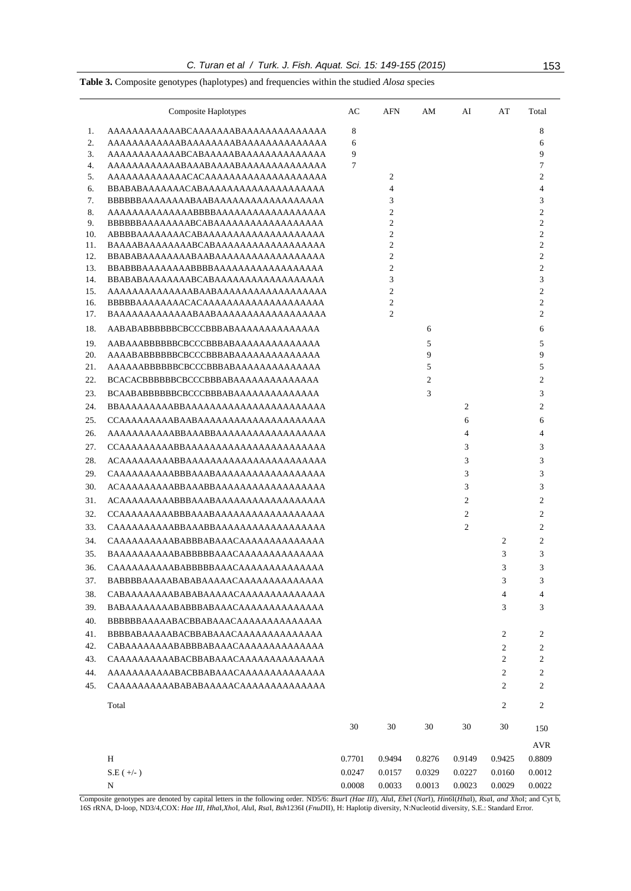|  |  | C. Turan et al / Turk. J. Fish. Aquat. Sci. 15: 149-155 (2015) | 153 |
|--|--|----------------------------------------------------------------|-----|
|--|--|----------------------------------------------------------------|-----|

**Table 3.** Composite genotypes (haplotypes) and frequencies within the studied *Alosa* species

|          | Composite Haplotypes                   | AC     | AFN            | AM             | AI             | AT                       | Total                            |
|----------|----------------------------------------|--------|----------------|----------------|----------------|--------------------------|----------------------------------|
| 1.       |                                        | 8      |                |                |                |                          | 8                                |
| 2.       | AAAAAAAAAAAABAAAAAAABAAAAAAAAAAAAAAA   | 6      |                |                |                |                          | 6                                |
| 3.       |                                        | 9      |                |                |                |                          | 9                                |
| 4.       |                                        | 7      |                |                |                |                          | 7                                |
| 5.       |                                        |        | 2              |                |                |                          | $\overline{2}$                   |
| 6.       |                                        |        | $\overline{4}$ |                |                |                          | 4                                |
| 7.       |                                        |        | 3              |                |                |                          | 3                                |
| 8.<br>9. | AAAAAAAAAAAAAABBBBAAAAAAAAAAAAAAAAAA   |        | 2<br>2         |                |                |                          | $\overline{c}$<br>$\overline{c}$ |
| 10.      |                                        |        | $\overline{c}$ |                |                |                          | $\overline{c}$                   |
| 11.      |                                        |        | 2              |                |                |                          | $\overline{c}$                   |
| 12.      | BBABABAAAAAAAABAABAAAAAAAAAAAAAAAAAAA  |        | $\overline{c}$ |                |                |                          | $\overline{2}$                   |
| 13.      | BBABBBAAAAAAAABBBBAAAAAAAAAAAAAAAAAAA  |        | 2              |                |                |                          | $\overline{c}$                   |
| 14.      |                                        |        | 3              |                |                |                          | 3                                |
| 15.      |                                        |        | $\overline{c}$ |                |                |                          | $\overline{c}$                   |
| 16.      |                                        |        | $\overline{c}$ |                |                |                          | $\overline{c}$                   |
| 17.      |                                        |        | 2              |                |                |                          | $\overline{c}$                   |
| 18.      |                                        |        |                | 6              |                |                          | 6                                |
| 19.      | AABAAABBBBBBCBCCCBBBABAAAAAAAAAAAAAAA  |        |                | 5              |                |                          | 5                                |
| 20.      | AAAABABBBBBBCBCCCBBBABAAAAAAAAAAAAAAA  |        |                | 9              |                |                          | 9                                |
| 21.      | AAAAAABBBBBBCBCCCBBBABAAAAAAAAAAAAAA   |        |                | 5              |                |                          | 5                                |
| 22.      |                                        |        |                | $\overline{c}$ |                |                          | $\overline{c}$                   |
| 23.      | BCAABABBBBBBCBCCCBBBABAAAAAAAAAAAAAAA  |        |                | 3              |                |                          | 3                                |
| 24.      |                                        |        |                |                | 2              |                          | 2                                |
| 25.      |                                        |        |                |                | 6              |                          | 6                                |
| 26.      |                                        |        |                |                | $\overline{4}$ |                          | 4                                |
| 27.      |                                        |        |                |                | 3              |                          | 3                                |
| 28.      | ACAAAAAAAAABBAAAAAAAAAAAAAAAAAAAAAAA   |        |                |                | 3              |                          | 3                                |
| 29.      |                                        |        |                |                | 3              |                          | 3                                |
| 30.      |                                        |        |                |                | 3              |                          | 3                                |
| 31.      |                                        |        |                |                | $\overline{c}$ |                          | 2                                |
| 32.      |                                        |        |                |                | 2              |                          | 2                                |
| 33.      | CAAAAAAAAAABBAAABBAAAAAAAAAAAAAAAAAAAA |        |                |                | 2              |                          | 2                                |
| 34.      |                                        |        |                |                |                | 2                        | $\overline{2}$                   |
| 35.      |                                        |        |                |                |                | 3                        | 3                                |
| 36.      | CAAAAAAAAAABABBBBBAAACAAAAAAAAAAAAAAA  |        |                |                |                | 3                        | 3                                |
| 37.      |                                        |        |                |                |                | 3                        | 3                                |
| 38.      | CABAAAAAAAABABABAAAAACAAAAAAAAAAAAAAA  |        |                |                |                | $\overline{\mathcal{A}}$ | 4                                |
| 39.      | BABAAAAAAAABABBBABAAACAAAAAAAAAAAAAAA  |        |                |                |                | 3                        | 3                                |
| 40.      |                                        |        |                |                |                |                          |                                  |
| 41.      |                                        |        |                |                |                | 2                        | 2                                |
| 42.      | CABAAAAAAAABABBBABAAACAAAAAAAAAAAAAA   |        |                |                |                | $\overline{c}$           | 2                                |
| 43.      | CAAAAAAAAAABACBBABAAACAAAAAAAAAAAAAA   |        |                |                |                | $\overline{c}$           | 2                                |
| 44.      | AAAAAAAAAAABACBBABAAACAAAAAAAAAAAAAA   |        |                |                |                | $\overline{c}$           | 2                                |
| 45.      | CAAAAAAAAAABABABAAAAACAAAAAAAAAAAAAA   |        |                |                |                | 2                        | 2                                |
|          | Total                                  |        |                |                |                | $\overline{c}$           | $\mathfrak{2}$                   |
|          |                                        | 30     | 30             | 30             | 30             | 30                       | 150                              |
|          |                                        |        |                |                |                |                          | <b>AVR</b>                       |
|          | H                                      | 0.7701 | 0.9494         | 0.8276         | 0.9149         | 0.9425                   | 0.8809                           |
|          | $S.E (+/-)$                            | 0.0247 | 0.0157         | 0.0329         | 0.0227         | 0.0160                   | 0.0012                           |
|          | N                                      | 0.0008 | 0.0033         | 0.0013         | 0.0023         | 0.0029                   | 0.0022                           |

Composite genotypes are denoted by capital letters in the following order. ND5/6: BsurI (Hae III), AluI, EheI (NarI), Hin6I(HhaI), RsaI, and XhoI; and Cyt b, 16S rRNA, D-loop, ND3/4,COX: *Hae III*, *Hha*I*,Xho*I*, Alu*I, *Rsa*I*, Bsh*1236I (*FnuD*II), H: Haplotip diversity, N:Nucleotid diversity, S.E.: Standard Error.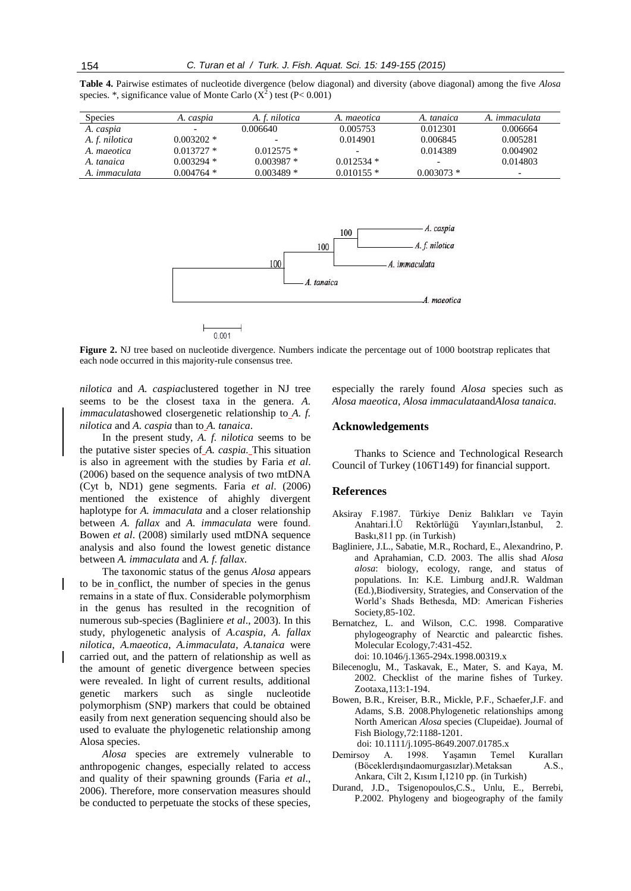| Table 4. Pairwise estimates of nucleotide divergence (below diagonal) and diversity (above diagonal) among the five <i>Alosa</i> |  |  |  |  |  |
|----------------------------------------------------------------------------------------------------------------------------------|--|--|--|--|--|
| species. *, significance value of Monte Carlo $(X^2)$ test $(P< 0.001)$                                                          |  |  |  |  |  |

| <b>Species</b>       | A. caspıa    | A. f. nilotica           | A. maeotica  | A. tanaica   | A. <i>immaculata</i>     |
|----------------------|--------------|--------------------------|--------------|--------------|--------------------------|
| A. caspia            |              | 0.006640                 | 0.005753     | 0.012301     | 0.006664                 |
| A. f. nilotica       | $0.003202$ * | $\overline{\phantom{0}}$ | 0.014901     | 0.006845     | 0.005281                 |
| A. maeotica          | $0.013727*$  | $0.012575*$              |              | 0.014389     | 0.004902                 |
| A. tanaica           | $0.003294*$  | $0.003987*$              | $0.012534*$  |              | 0.014803                 |
| A. <i>immaculata</i> | $0.004764$ * | $0.003489*$              | $0.010155$ * | $0.003073$ * | $\overline{\phantom{0}}$ |



**Figure 2.** NJ tree based on nucleotide divergence. Numbers indicate the percentage out of 1000 bootstrap replicates that each node occurred in this majority-rule consensus tree.

*nilotica* and *A. caspia*clustered together in NJ tree seems to be the closest taxa in the genera. *A. immaculata*showed closergenetic relationship to *A. f. nilotica* and *A. caspia* than to *A. tanaica*.

In the present study, *A. f. nilotica* seems to be the putative sister species of *A. caspia.* This situation is also in agreement with the studies by Faria *et al*. (2006) based on the sequence analysis of two mtDNA (Cyt b, ND1) gene segments. Faria *et al*. (2006) mentioned the existence of ahighly divergent haplotype for *A. immaculata* and a closer relationship between *A. fallax* and *A. immaculata* were found. Bowen *et al*. (2008) similarly used mtDNA sequence analysis and also found the lowest genetic distance between *A. immaculata* and *A. f. fallax*.

The taxonomic status of the genus *Alosa* appears to be in conflict, the number of species in the genus remains in a state of flux. Considerable polymorphism in the genus has resulted in the recognition of numerous sub-species (Bagliniere *et al*., 2003)*.* In this study, phylogenetic analysis of *A.caspia*, *A. fallax nilotica*, *A.maeotica*, *A.immaculata*, *A.tanaica* were carried out, and the pattern of relationship as well as the amount of genetic divergence between species were revealed. In light of current results, additional genetic markers such as single nucleotide polymorphism (SNP) markers that could be obtained easily from next generation sequencing should also be used to evaluate the phylogenetic relationship among Alosa species.

*Alosa* species are extremely vulnerable to anthropogenic changes, especially related to access and quality of their spawning grounds (Faria *et al*., 2006). Therefore, more conservation measures should be conducted to perpetuate the stocks of these species,

especially the rarely found *Alosa* species such as *Alosa maeotica*, *Alosa immaculata*and*Alosa tanaica.*

#### **Acknowledgements**

Thanks to Science and Technological Research Council of Turkey (106T149) for financial support.

#### **References**

- Aksiray F.1987. Türkiye Deniz Balıkları ve Tayin Anahtari.İ.Ü Rektörlüğü Yayınları,İstanbul, 2. Baskı,811 pp. (in Turkish)
- Bagliniere, J.L., Sabatie, M.R., Rochard, E., Alexandrino, P. and Aprahamian, C.D. 2003. The allis shad *Alosa alosa*: biology, ecology, range, and status of populations. In: K.E. Limburg andJ.R. Waldman (Ed.),Biodiversity, Strategies, and Conservation of the World's Shads Bethesda, MD: American Fisheries Society,85-102.
- Bernatchez, L. and Wilson, C.C. 1998. Comparative phylogeography of Nearctic and palearctic fishes. Molecular Ecology,7:431-452. doi: 10.1046/j.1365-294x.1998.00319.x
- Bilecenoglu, M., Taskavak, E., Mater, S. and Kaya, M. 2002. Checklist of the marine fishes of Turkey. Zootaxa,113:1-194.
- Bowen, B.R., Kreiser, B.R., Mickle, P.F., Schaefer,J.F. and Adams, S.B. 2008.Phylogenetic relationships among North American *Alosa* species (Clupeidae). Journal of Fish Biology,72:1188-1201.

doi: 10.1111/j.1095-8649.2007.01785.x

- Demirsoy A. 1998. Yaşamın Temel Kuralları (Böceklerdışındaomurgasızlar).Metaksan A.S., Ankara, Cilt 2, Kısım I,1210 pp. (in Turkish)
- Durand, J.D., Tsigenopoulos,C.S., Unlu, E., Berrebi, P.2002*.* Phylogeny and biogeography of the family